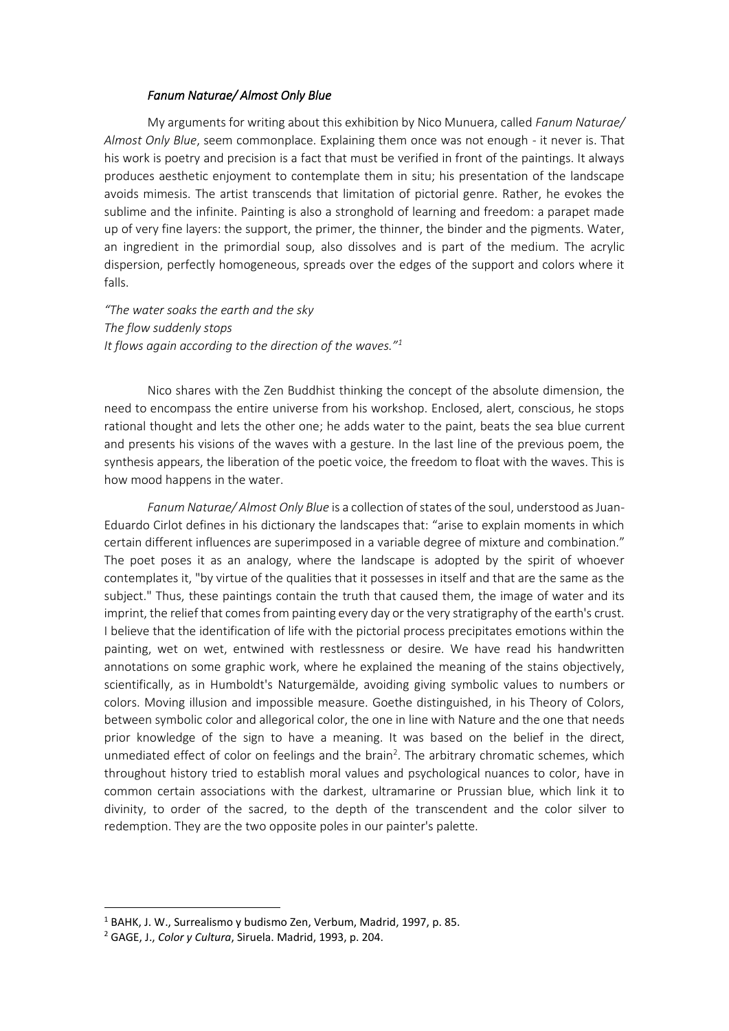## *Fanum Naturae/ Almost Only Blue*

My arguments for writing about this exhibition by Nico Munuera, called *Fanum Naturae/ Almost Only Blue*, seem commonplace. Explaining them once was not enough - it never is. That his work is poetry and precision is a fact that must be verified in front of the paintings. It always produces aesthetic enjoyment to contemplate them in situ; his presentation of the landscape avoids mimesis. The artist transcends that limitation of pictorial genre. Rather, he evokes the sublime and the infinite. Painting is also a stronghold of learning and freedom: a parapet made up of very fine layers: the support, the primer, the thinner, the binder and the pigments. Water, an ingredient in the primordial soup, also dissolves and is part of the medium. The acrylic dispersion, perfectly homogeneous, spreads over the edges of the support and colors where it falls.

*"The water soaks the earth and the sky The flow suddenly stops It flows again according to the direction of the waves."<sup>1</sup>*

Nico shares with the Zen Buddhist thinking the concept of the absolute dimension, the need to encompass the entire universe from his workshop. Enclosed, alert, conscious, he stops rational thought and lets the other one; he adds water to the paint, beats the sea blue current and presents his visions of the waves with a gesture. In the last line of the previous poem, the synthesis appears, the liberation of the poetic voice, the freedom to float with the waves. This is how mood happens in the water.

*Fanum Naturae/ Almost Only Blue* is a collection of states of the soul, understood as Juan-Eduardo Cirlot defines in his dictionary the landscapes that: "arise to explain moments in which certain different influences are superimposed in a variable degree of mixture and combination." The poet poses it as an analogy, where the landscape is adopted by the spirit of whoever contemplates it, "by virtue of the qualities that it possesses in itself and that are the same as the subject." Thus, these paintings contain the truth that caused them, the image of water and its imprint, the relief that comes from painting every day or the very stratigraphy of the earth's crust. I believe that the identification of life with the pictorial process precipitates emotions within the painting, wet on wet, entwined with restlessness or desire. We have read his handwritten annotations on some graphic work, where he explained the meaning of the stains objectively, scientifically, as in Humboldt's Naturgemälde, avoiding giving symbolic values to numbers or colors. Moving illusion and impossible measure. Goethe distinguished, in his Theory of Colors, between symbolic color and allegorical color, the one in line with Nature and the one that needs prior knowledge of the sign to have a meaning. It was based on the belief in the direct, unmediated effect of color on feelings and the brain<sup>2</sup>. The arbitrary chromatic schemes, which throughout history tried to establish moral values and psychological nuances to color, have in common certain associations with the darkest, ultramarine or Prussian blue, which link it to divinity, to order of the sacred, to the depth of the transcendent and the color silver to redemption. They are the two opposite poles in our painter's palette.

<sup>1</sup> BAHK, J. W., Surrealismo y budismo Zen, Verbum, Madrid, 1997, p. 85.

<sup>2</sup> GAGE, J., *Color y Cultura*, Siruela. Madrid, 1993, p. 204.